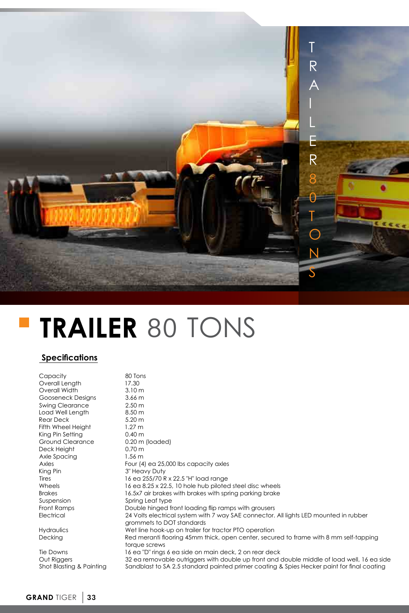

## **TRAILER** 80 TONS

## **Specifications**

| Capacity                                | 80 Tons                                                                                                                                                                                  |
|-----------------------------------------|------------------------------------------------------------------------------------------------------------------------------------------------------------------------------------------|
| Overall Length                          | 17.30                                                                                                                                                                                    |
| Overall Width                           | 3.10 <sub>m</sub>                                                                                                                                                                        |
| Gooseneck Designs                       | 3.66 <sub>m</sub>                                                                                                                                                                        |
| Swing Clearance                         | $2.50 \text{ m}$                                                                                                                                                                         |
| Load Well Length                        | 8.50 <sub>m</sub>                                                                                                                                                                        |
| <b>Rear Deck</b>                        | $5.20 \text{ m}$                                                                                                                                                                         |
| Fifth Wheel Height                      | $1.27 \text{ m}$                                                                                                                                                                         |
| King Pin Setting                        | 0.40 <sub>m</sub>                                                                                                                                                                        |
| Ground Clearance                        | $0.20 \text{ m}$ (loaded)                                                                                                                                                                |
| Deck Height                             | $0.70 \text{ m}$                                                                                                                                                                         |
| Axle Spacing                            | $1.56 \text{ m}$                                                                                                                                                                         |
| Axles                                   | Four (4) ea 25,000 lbs capacity axles                                                                                                                                                    |
| King Pin                                | 3" Heavy Duty                                                                                                                                                                            |
| Tires                                   | 16 ea 255/70 R x 22.5 "H" load range                                                                                                                                                     |
| Wheels                                  | 16 eg 8.25 x 22.5, 10 hole hub piloted steel disc wheels                                                                                                                                 |
| <b>Brakes</b>                           | 16.5x7 air brakes with brakes with spring parking brake                                                                                                                                  |
| Suspension                              | Spring Leaf type                                                                                                                                                                         |
| Front Ramps                             | Double hinged front loading flip ramps with grousers                                                                                                                                     |
| Electrical                              | 24 Volts electrical system with 7 way SAE connector. All lights LED mounted in rubber                                                                                                    |
|                                         | grommets to DOT standards                                                                                                                                                                |
| Hydraulics                              | Wet line hook-up on trailer for tractor PTO operation                                                                                                                                    |
| Decking                                 | Red meranti flooring 45mm thick, open center, secured to frame with 8 mm self-tapping<br>torque screws                                                                                   |
| Tie Downs                               | 16 ed "D" rings 6 ed side on main deck, 2 on rear deck                                                                                                                                   |
| Out Riggers<br>Shot Blasting & Painting | 32 ea removable outriggers with double up front and double middle of load well, 16 ea side<br>Sandblast to SA 2.5 standard painted primer coating & Spies Hecker paint for final coating |
|                                         |                                                                                                                                                                                          |